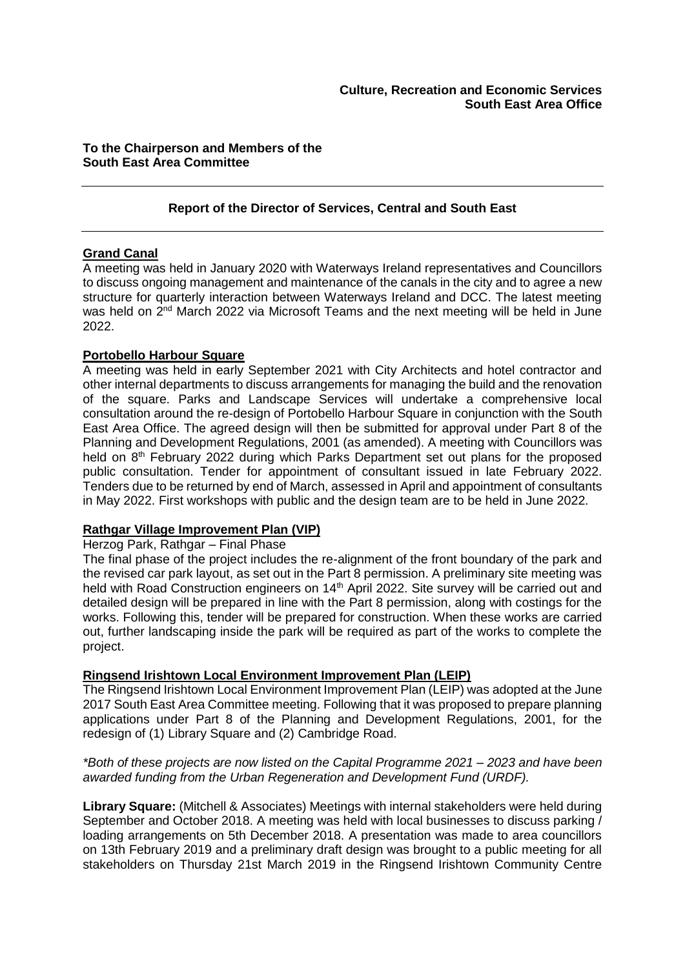# **To the Chairperson and Members of the South East Area Committee**

# **Report of the Director of Services, Central and South East**

#### **Grand Canal**

A meeting was held in January 2020 with Waterways Ireland representatives and Councillors to discuss ongoing management and maintenance of the canals in the city and to agree a new structure for quarterly interaction between Waterways Ireland and DCC. The latest meeting was held on 2<sup>nd</sup> March 2022 via Microsoft Teams and the next meeting will be held in June 2022.

#### **Portobello Harbour Square**

A meeting was held in early September 2021 with City Architects and hotel contractor and other internal departments to discuss arrangements for managing the build and the renovation of the square. Parks and Landscape Services will undertake a comprehensive local consultation around the re-design of Portobello Harbour Square in conjunction with the South East Area Office. The agreed design will then be submitted for approval under Part 8 of the Planning and Development Regulations, 2001 (as amended). A meeting with Councillors was held on 8<sup>th</sup> February 2022 during which Parks Department set out plans for the proposed public consultation. Tender for appointment of consultant issued in late February 2022. Tenders due to be returned by end of March, assessed in April and appointment of consultants in May 2022. First workshops with public and the design team are to be held in June 2022.

# **Rathgar Village Improvement Plan (VIP)**

#### Herzog Park, Rathgar – Final Phase

The final phase of the project includes the re-alignment of the front boundary of the park and the revised car park layout, as set out in the Part 8 permission. A preliminary site meeting was held with Road Construction engineers on 14<sup>th</sup> April 2022. Site survey will be carried out and detailed design will be prepared in line with the Part 8 permission, along with costings for the works. Following this, tender will be prepared for construction. When these works are carried out, further landscaping inside the park will be required as part of the works to complete the project.

# **Ringsend Irishtown Local Environment Improvement Plan (LEIP)**

The Ringsend Irishtown Local Environment Improvement Plan (LEIP) was adopted at the June 2017 South East Area Committee meeting. Following that it was proposed to prepare planning applications under Part 8 of the Planning and Development Regulations, 2001, for the redesign of (1) Library Square and (2) Cambridge Road.

## *\*Both of these projects are now listed on the Capital Programme 2021 – 2023 and have been awarded funding from the Urban Regeneration and Development Fund (URDF).*

**Library Square:** (Mitchell & Associates) Meetings with internal stakeholders were held during September and October 2018. A meeting was held with local businesses to discuss parking / loading arrangements on 5th December 2018. A presentation was made to area councillors on 13th February 2019 and a preliminary draft design was brought to a public meeting for all stakeholders on Thursday 21st March 2019 in the Ringsend Irishtown Community Centre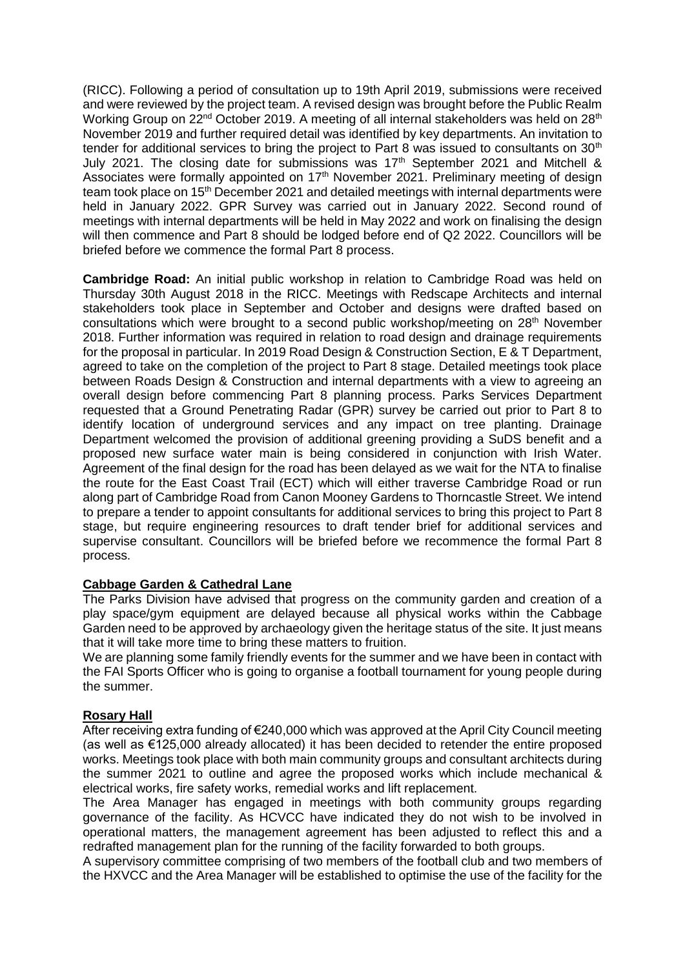(RICC). Following a period of consultation up to 19th April 2019, submissions were received and were reviewed by the project team. A revised design was brought before the Public Realm Working Group on  $22<sup>nd</sup>$  October 2019. A meeting of all internal stakeholders was held on  $28<sup>th</sup>$ November 2019 and further required detail was identified by key departments. An invitation to tender for additional services to bring the project to Part 8 was issued to consultants on 30<sup>th</sup> July 2021. The closing date for submissions was  $17<sup>th</sup>$  September 2021 and Mitchell & Associates were formally appointed on 17<sup>th</sup> November 2021. Preliminary meeting of design team took place on 15<sup>th</sup> December 2021 and detailed meetings with internal departments were held in January 2022. GPR Survey was carried out in January 2022. Second round of meetings with internal departments will be held in May 2022 and work on finalising the design will then commence and Part 8 should be lodged before end of Q2 2022. Councillors will be briefed before we commence the formal Part 8 process.

**Cambridge Road:** An initial public workshop in relation to Cambridge Road was held on Thursday 30th August 2018 in the RICC. Meetings with Redscape Architects and internal stakeholders took place in September and October and designs were drafted based on consultations which were brought to a second public workshop/meeting on 28<sup>th</sup> November 2018. Further information was required in relation to road design and drainage requirements for the proposal in particular. In 2019 Road Design & Construction Section, E & T Department, agreed to take on the completion of the project to Part 8 stage. Detailed meetings took place between Roads Design & Construction and internal departments with a view to agreeing an overall design before commencing Part 8 planning process. Parks Services Department requested that a Ground Penetrating Radar (GPR) survey be carried out prior to Part 8 to identify location of underground services and any impact on tree planting. Drainage Department welcomed the provision of additional greening providing a SuDS benefit and a proposed new surface water main is being considered in conjunction with Irish Water. Agreement of the final design for the road has been delayed as we wait for the NTA to finalise the route for the East Coast Trail (ECT) which will either traverse Cambridge Road or run along part of Cambridge Road from Canon Mooney Gardens to Thorncastle Street. We intend to prepare a tender to appoint consultants for additional services to bring this project to Part 8 stage, but require engineering resources to draft tender brief for additional services and supervise consultant. Councillors will be briefed before we recommence the formal Part 8 process.

# **Cabbage Garden & Cathedral Lane**

The Parks Division have advised that progress on the community garden and creation of a play space/gym equipment are delayed because all physical works within the Cabbage Garden need to be approved by archaeology given the heritage status of the site. It just means that it will take more time to bring these matters to fruition.

We are planning some family friendly events for the summer and we have been in contact with the FAI Sports Officer who is going to organise a football tournament for young people during the summer.

# **Rosary Hall**

After receiving extra funding of €240,000 which was approved at the April City Council meeting (as well as €125,000 already allocated) it has been decided to retender the entire proposed works. Meetings took place with both main community groups and consultant architects during the summer 2021 to outline and agree the proposed works which include mechanical & electrical works, fire safety works, remedial works and lift replacement.

The Area Manager has engaged in meetings with both community groups regarding governance of the facility. As HCVCC have indicated they do not wish to be involved in operational matters, the management agreement has been adjusted to reflect this and a redrafted management plan for the running of the facility forwarded to both groups.

A supervisory committee comprising of two members of the football club and two members of the HXVCC and the Area Manager will be established to optimise the use of the facility for the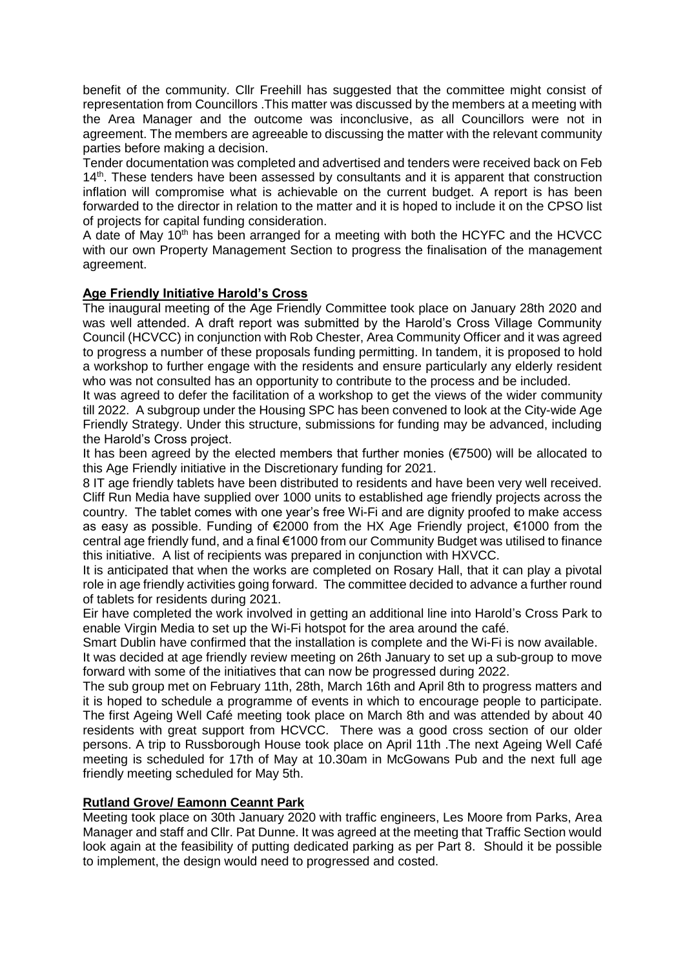benefit of the community. Cllr Freehill has suggested that the committee might consist of representation from Councillors .This matter was discussed by the members at a meeting with the Area Manager and the outcome was inconclusive, as all Councillors were not in agreement. The members are agreeable to discussing the matter with the relevant community parties before making a decision.

Tender documentation was completed and advertised and tenders were received back on Feb  $14<sup>th</sup>$ . These tenders have been assessed by consultants and it is apparent that construction inflation will compromise what is achievable on the current budget. A report is has been forwarded to the director in relation to the matter and it is hoped to include it on the CPSO list of projects for capital funding consideration.

A date of May 10<sup>th</sup> has been arranged for a meeting with both the HCYFC and the HCVCC with our own Property Management Section to progress the finalisation of the management agreement.

# **Age Friendly Initiative Harold's Cross**

The inaugural meeting of the Age Friendly Committee took place on January 28th 2020 and was well attended. A draft report was submitted by the Harold's Cross Village Community Council (HCVCC) in conjunction with Rob Chester, Area Community Officer and it was agreed to progress a number of these proposals funding permitting. In tandem, it is proposed to hold a workshop to further engage with the residents and ensure particularly any elderly resident who was not consulted has an opportunity to contribute to the process and be included.

It was agreed to defer the facilitation of a workshop to get the views of the wider community till 2022. A subgroup under the Housing SPC has been convened to look at the City-wide Age Friendly Strategy. Under this structure, submissions for funding may be advanced, including the Harold's Cross project.

It has been agreed by the elected members that further monies (€7500) will be allocated to this Age Friendly initiative in the Discretionary funding for 2021.

8 IT age friendly tablets have been distributed to residents and have been very well received. Cliff Run Media have supplied over 1000 units to established age friendly projects across the country. The tablet comes with one year's free Wi-Fi and are dignity proofed to make access as easy as possible. Funding of €2000 from the HX Age Friendly project, €1000 from the central age friendly fund, and a final €1000 from our Community Budget was utilised to finance this initiative. A list of recipients was prepared in conjunction with HXVCC.

It is anticipated that when the works are completed on Rosary Hall, that it can play a pivotal role in age friendly activities going forward. The committee decided to advance a further round of tablets for residents during 2021.

Eir have completed the work involved in getting an additional line into Harold's Cross Park to enable Virgin Media to set up the Wi-Fi hotspot for the area around the café.

Smart Dublin have confirmed that the installation is complete and the Wi-Fi is now available. It was decided at age friendly review meeting on 26th January to set up a sub-group to move forward with some of the initiatives that can now be progressed during 2022.

The sub group met on February 11th, 28th, March 16th and April 8th to progress matters and it is hoped to schedule a programme of events in which to encourage people to participate. The first Ageing Well Café meeting took place on March 8th and was attended by about 40 residents with great support from HCVCC. There was a good cross section of our older persons. A trip to Russborough House took place on April 11th .The next Ageing Well Café meeting is scheduled for 17th of May at 10.30am in McGowans Pub and the next full age friendly meeting scheduled for May 5th.

#### **Rutland Grove/ Eamonn Ceannt Park**

Meeting took place on 30th January 2020 with traffic engineers, Les Moore from Parks, Area Manager and staff and Cllr. Pat Dunne. It was agreed at the meeting that Traffic Section would look again at the feasibility of putting dedicated parking as per Part 8. Should it be possible to implement, the design would need to progressed and costed.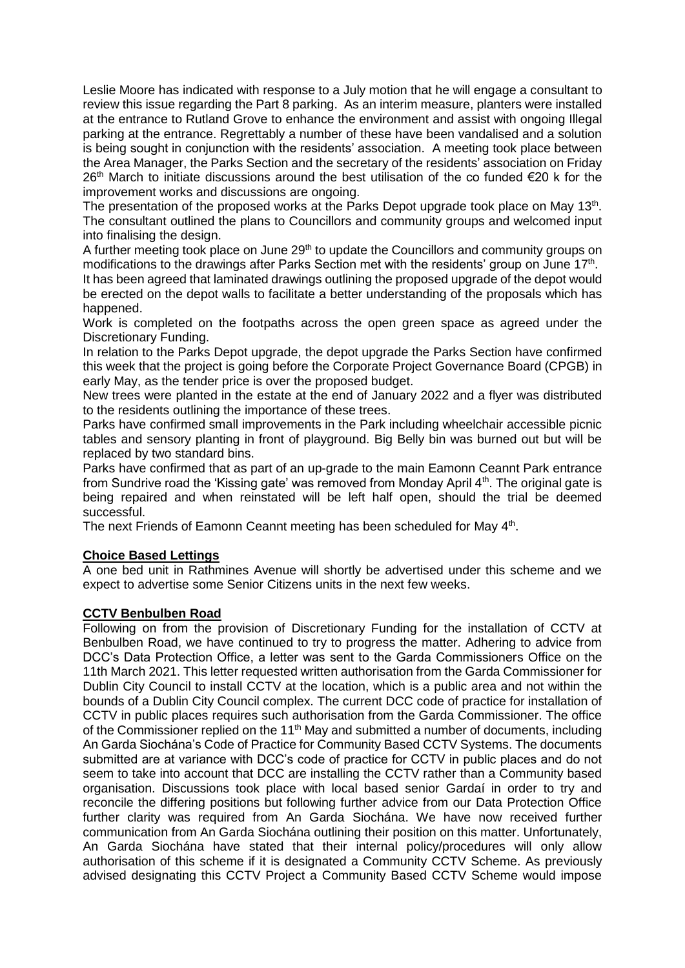Leslie Moore has indicated with response to a July motion that he will engage a consultant to review this issue regarding the Part 8 parking. As an interim measure, planters were installed at the entrance to Rutland Grove to enhance the environment and assist with ongoing Illegal parking at the entrance. Regrettably a number of these have been vandalised and a solution is being sought in conjunction with the residents' association. A meeting took place between the Area Manager, the Parks Section and the secretary of the residents' association on Friday  $26<sup>th</sup>$  March to initiate discussions around the best utilisation of the co funded  $\epsilon$ 20 k for the improvement works and discussions are ongoing.

The presentation of the proposed works at the Parks Depot upgrade took place on May 13<sup>th</sup>. The consultant outlined the plans to Councillors and community groups and welcomed input into finalising the design.

A further meeting took place on June 29<sup>th</sup> to update the Councillors and community groups on modifications to the drawings after Parks Section met with the residents' group on June 17<sup>th</sup>.

It has been agreed that laminated drawings outlining the proposed upgrade of the depot would be erected on the depot walls to facilitate a better understanding of the proposals which has happened.

Work is completed on the footpaths across the open green space as agreed under the Discretionary Funding.

In relation to the Parks Depot upgrade, the depot upgrade the Parks Section have confirmed this week that the project is going before the Corporate Project Governance Board (CPGB) in early May, as the tender price is over the proposed budget.

New trees were planted in the estate at the end of January 2022 and a flyer was distributed to the residents outlining the importance of these trees.

Parks have confirmed small improvements in the Park including wheelchair accessible picnic tables and sensory planting in front of playground. Big Belly bin was burned out but will be replaced by two standard bins.

Parks have confirmed that as part of an up-grade to the main Eamonn Ceannt Park entrance from Sundrive road the 'Kissing gate' was removed from Monday April 4<sup>th</sup>. The original gate is being repaired and when reinstated will be left half open, should the trial be deemed successful.

The next Friends of Eamonn Ceannt meeting has been scheduled for May 4<sup>th</sup>.

# **Choice Based Lettings**

A one bed unit in Rathmines Avenue will shortly be advertised under this scheme and we expect to advertise some Senior Citizens units in the next few weeks.

# **CCTV Benbulben Road**

Following on from the provision of Discretionary Funding for the installation of CCTV at Benbulben Road, we have continued to try to progress the matter. Adhering to advice from DCC's Data Protection Office, a letter was sent to the Garda Commissioners Office on the 11th March 2021. This letter requested written authorisation from the Garda Commissioner for Dublin City Council to install CCTV at the location, which is a public area and not within the bounds of a Dublin City Council complex. The current DCC code of practice for installation of CCTV in public places requires such authorisation from the Garda Commissioner. The office of the Commissioner replied on the 11<sup>th</sup> May and submitted a number of documents, including An Garda Siochána's Code of Practice for Community Based CCTV Systems. The documents submitted are at variance with DCC's code of practice for CCTV in public places and do not seem to take into account that DCC are installing the CCTV rather than a Community based organisation. Discussions took place with local based senior Gardaí in order to try and reconcile the differing positions but following further advice from our Data Protection Office further clarity was required from An Garda Siochána. We have now received further communication from An Garda Siochána outlining their position on this matter. Unfortunately, An Garda Siochána have stated that their internal policy/procedures will only allow authorisation of this scheme if it is designated a Community CCTV Scheme. As previously advised designating this CCTV Project a Community Based CCTV Scheme would impose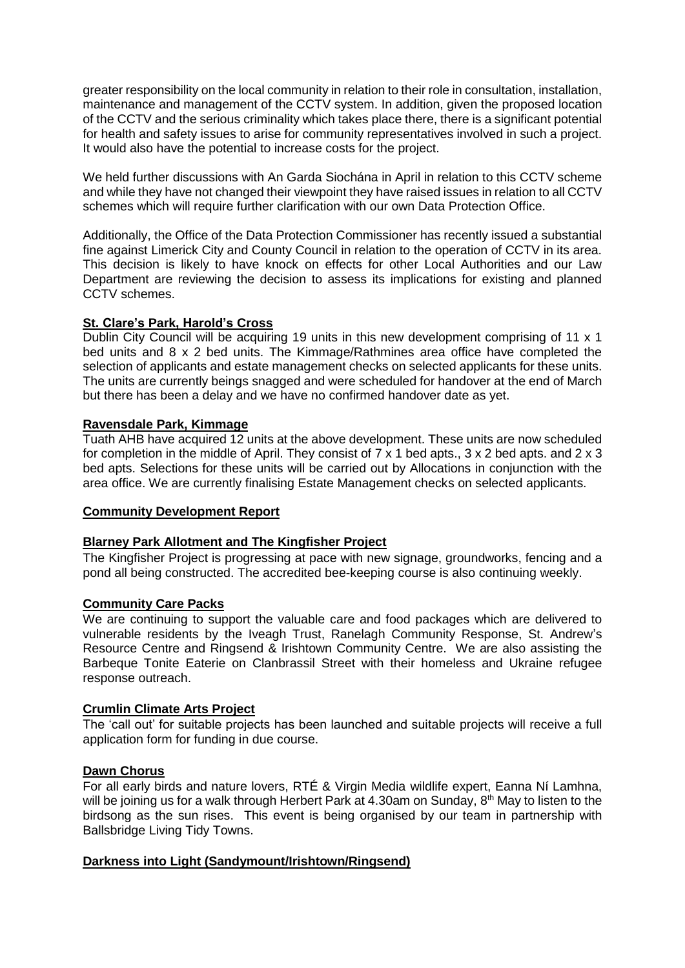greater responsibility on the local community in relation to their role in consultation, installation, maintenance and management of the CCTV system. In addition, given the proposed location of the CCTV and the serious criminality which takes place there, there is a significant potential for health and safety issues to arise for community representatives involved in such a project. It would also have the potential to increase costs for the project.

We held further discussions with An Garda Siochána in April in relation to this CCTV scheme and while they have not changed their viewpoint they have raised issues in relation to all CCTV schemes which will require further clarification with our own Data Protection Office.

Additionally, the Office of the Data Protection Commissioner has recently issued a substantial fine against Limerick City and County Council in relation to the operation of CCTV in its area. This decision is likely to have knock on effects for other Local Authorities and our Law Department are reviewing the decision to assess its implications for existing and planned CCTV schemes.

# **St. Clare's Park, Harold's Cross**

Dublin City Council will be acquiring 19 units in this new development comprising of 11 x 1 bed units and 8 x 2 bed units. The Kimmage/Rathmines area office have completed the selection of applicants and estate management checks on selected applicants for these units. The units are currently beings snagged and were scheduled for handover at the end of March but there has been a delay and we have no confirmed handover date as yet.

#### **Ravensdale Park, Kimmage**

Tuath AHB have acquired 12 units at the above development. These units are now scheduled for completion in the middle of April. They consist of 7 x 1 bed apts., 3 x 2 bed apts. and 2 x 3 bed apts. Selections for these units will be carried out by Allocations in conjunction with the area office. We are currently finalising Estate Management checks on selected applicants.

#### **Community Development Report**

#### **Blarney Park Allotment and The Kingfisher Project**

The Kingfisher Project is progressing at pace with new signage, groundworks, fencing and a pond all being constructed. The accredited bee-keeping course is also continuing weekly.

#### **Community Care Packs**

We are continuing to support the valuable care and food packages which are delivered to vulnerable residents by the Iveagh Trust, Ranelagh Community Response, St. Andrew's Resource Centre and Ringsend & Irishtown Community Centre. We are also assisting the Barbeque Tonite Eaterie on Clanbrassil Street with their homeless and Ukraine refugee response outreach.

#### **Crumlin Climate Arts Project**

The 'call out' for suitable projects has been launched and suitable projects will receive a full application form for funding in due course.

#### **Dawn Chorus**

For all early birds and nature lovers, RTÉ & Virgin Media wildlife expert, Eanna Ní Lamhna, will be joining us for a walk through Herbert Park at 4.30am on Sunday, 8<sup>th</sup> May to listen to the birdsong as the sun rises. This event is being organised by our team in partnership with Ballsbridge Living Tidy Towns.

#### **Darkness into Light (Sandymount/Irishtown/Ringsend)**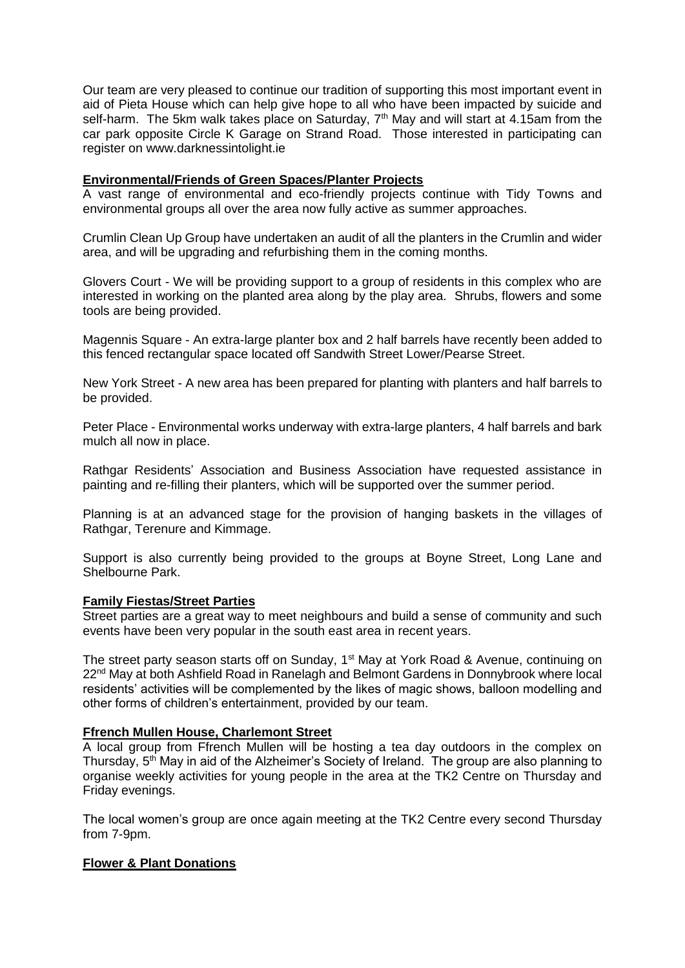Our team are very pleased to continue our tradition of supporting this most important event in aid of Pieta House which can help give hope to all who have been impacted by suicide and self-harm. The 5km walk takes place on Saturday,  $7<sup>th</sup>$  May and will start at 4.15am from the car park opposite Circle K Garage on Strand Road. Those interested in participating can register on www.darknessintolight.ie

## **Environmental/Friends of Green Spaces/Planter Projects**

A vast range of environmental and eco-friendly projects continue with Tidy Towns and environmental groups all over the area now fully active as summer approaches.

Crumlin Clean Up Group have undertaken an audit of all the planters in the Crumlin and wider area, and will be upgrading and refurbishing them in the coming months.

Glovers Court - We will be providing support to a group of residents in this complex who are interested in working on the planted area along by the play area. Shrubs, flowers and some tools are being provided.

Magennis Square - An extra-large planter box and 2 half barrels have recently been added to this fenced rectangular space located off Sandwith Street Lower/Pearse Street.

New York Street - A new area has been prepared for planting with planters and half barrels to be provided.

Peter Place - Environmental works underway with extra-large planters, 4 half barrels and bark mulch all now in place.

Rathgar Residents' Association and Business Association have requested assistance in painting and re-filling their planters, which will be supported over the summer period.

Planning is at an advanced stage for the provision of hanging baskets in the villages of Rathgar, Terenure and Kimmage.

Support is also currently being provided to the groups at Boyne Street, Long Lane and Shelbourne Park.

#### **Family Fiestas/Street Parties**

Street parties are a great way to meet neighbours and build a sense of community and such events have been very popular in the south east area in recent years.

The street party season starts off on Sunday, 1<sup>st</sup> May at York Road & Avenue, continuing on 22nd May at both Ashfield Road in Ranelagh and Belmont Gardens in Donnybrook where local residents' activities will be complemented by the likes of magic shows, balloon modelling and other forms of children's entertainment, provided by our team.

#### **Ffrench Mullen House, Charlemont Street**

A local group from Ffrench Mullen will be hosting a tea day outdoors in the complex on Thursday, 5<sup>th</sup> May in aid of the Alzheimer's Society of Ireland. The group are also planning to organise weekly activities for young people in the area at the TK2 Centre on Thursday and Friday evenings.

The local women's group are once again meeting at the TK2 Centre every second Thursday from 7-9pm.

#### **Flower & Plant Donations**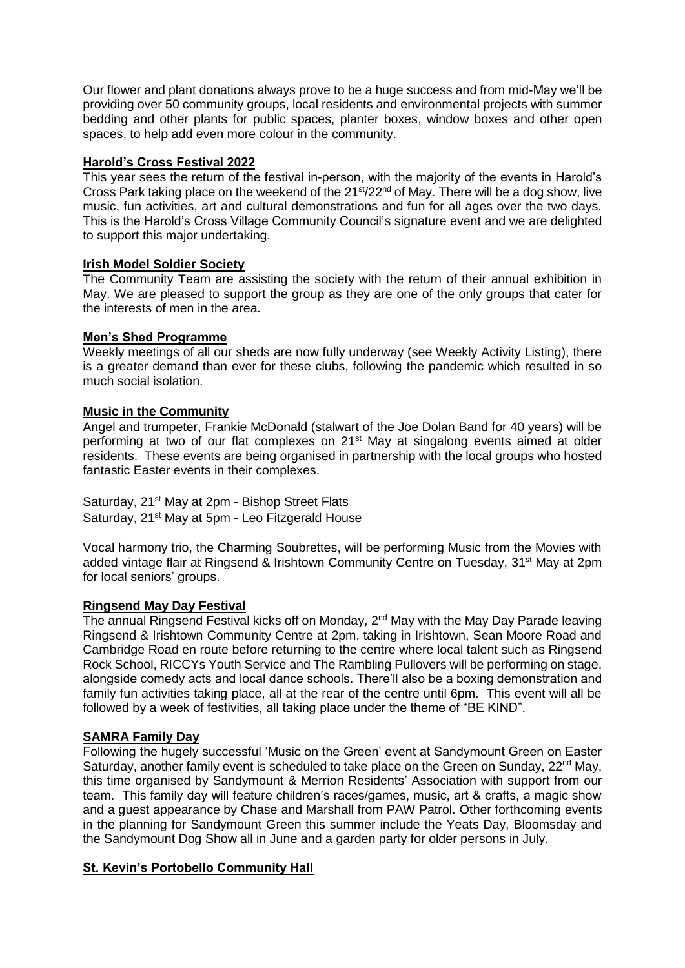Our flower and plant donations always prove to be a huge success and from mid-May we'll be providing over 50 community groups, local residents and environmental projects with summer bedding and other plants for public spaces, planter boxes, window boxes and other open spaces, to help add even more colour in the community.

# **Harold's Cross Festival 2022**

This year sees the return of the festival in-person, with the majority of the events in Harold's Cross Park taking place on the weekend of the 21<sup>st</sup>/22<sup>nd</sup> of May. There will be a dog show, live music, fun activities, art and cultural demonstrations and fun for all ages over the two days. This is the Harold's Cross Village Community Council's signature event and we are delighted to support this major undertaking.

# **Irish Model Soldier Society**

The Community Team are assisting the society with the return of their annual exhibition in May. We are pleased to support the group as they are one of the only groups that cater for the interests of men in the area.

# **Men's Shed Programme**

Weekly meetings of all our sheds are now fully underway (see Weekly Activity Listing), there is a greater demand than ever for these clubs, following the pandemic which resulted in so much social isolation.

# **Music in the Community**

Angel and trumpeter, Frankie McDonald (stalwart of the Joe Dolan Band for 40 years) will be performing at two of our flat complexes on 21<sup>st</sup> May at singalong events aimed at older residents. These events are being organised in partnership with the local groups who hosted fantastic Easter events in their complexes.

Saturday, 21<sup>st</sup> May at 2pm - Bishop Street Flats Saturday, 21<sup>st</sup> May at 5pm - Leo Fitzgerald House

Vocal harmony trio, the Charming Soubrettes, will be performing Music from the Movies with added vintage flair at Ringsend & Irishtown Community Centre on Tuesday, 31<sup>st</sup> May at 2pm for local seniors' groups.

# **Ringsend May Day Festival**

The annual Ringsend Festival kicks off on Monday, 2<sup>nd</sup> May with the May Day Parade leaving Ringsend & Irishtown Community Centre at 2pm, taking in Irishtown, Sean Moore Road and Cambridge Road en route before returning to the centre where local talent such as Ringsend Rock School, RICCYs Youth Service and The Rambling Pullovers will be performing on stage, alongside comedy acts and local dance schools. There'll also be a boxing demonstration and family fun activities taking place, all at the rear of the centre until 6pm. This event will all be followed by a week of festivities, all taking place under the theme of "BE KIND".

# **SAMRA Family Day**

Following the hugely successful 'Music on the Green' event at Sandymount Green on Easter Saturday, another family event is scheduled to take place on the Green on Sunday, 22<sup>nd</sup> May, this time organised by Sandymount & Merrion Residents' Association with support from our team. This family day will feature children's races/games, music, art & crafts, a magic show and a guest appearance by Chase and Marshall from PAW Patrol. Other forthcoming events in the planning for Sandymount Green this summer include the Yeats Day, Bloomsday and the Sandymount Dog Show all in June and a garden party for older persons in July.

# **St. Kevin's Portobello Community Hall**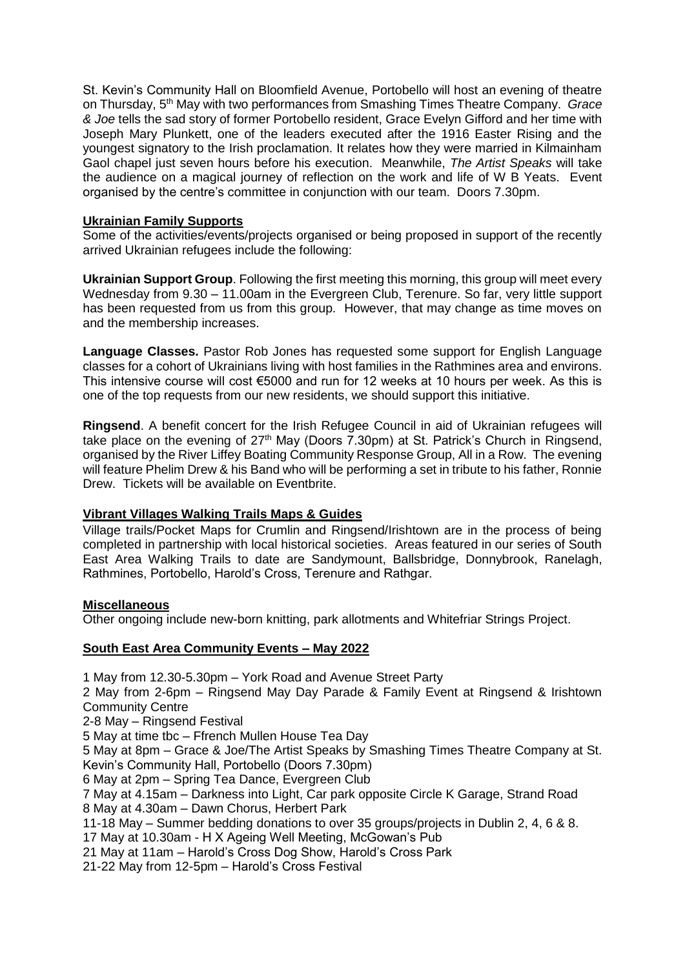St. Kevin's Community Hall on Bloomfield Avenue, Portobello will host an evening of theatre on Thursday, 5th May with two performances from Smashing Times Theatre Company. *Grace & Joe* tells the sad story of former Portobello resident, Grace Evelyn Gifford and her time with Joseph Mary Plunkett, one of the leaders executed after the 1916 Easter Rising and the youngest signatory to the Irish proclamation. It relates how they were married in Kilmainham Gaol chapel just seven hours before his execution. Meanwhile, *The Artist Speaks* will take the audience on a magical journey of reflection on the work and life of W B Yeats. Event organised by the centre's committee in conjunction with our team. Doors 7.30pm.

# **Ukrainian Family Supports**

Some of the activities/events/projects organised or being proposed in support of the recently arrived Ukrainian refugees include the following:

**Ukrainian Support Group**. Following the first meeting this morning, this group will meet every Wednesday from 9.30 – 11.00am in the Evergreen Club, Terenure. So far, very little support has been requested from us from this group. However, that may change as time moves on and the membership increases.

**Language Classes.** Pastor Rob Jones has requested some support for English Language classes for a cohort of Ukrainians living with host families in the Rathmines area and environs. This intensive course will cost  $\epsilon$ 5000 and run for 12 weeks at 10 hours per week. As this is one of the top requests from our new residents, we should support this initiative.

**Ringsend**. A benefit concert for the Irish Refugee Council in aid of Ukrainian refugees will take place on the evening of  $27<sup>th</sup>$  May (Doors 7.30pm) at St. Patrick's Church in Ringsend, organised by the River Liffey Boating Community Response Group, All in a Row. The evening will feature Phelim Drew & his Band who will be performing a set in tribute to his father, Ronnie Drew. Tickets will be available on Eventbrite.

# **Vibrant Villages Walking Trails Maps & Guides**

Village trails/Pocket Maps for Crumlin and Ringsend/Irishtown are in the process of being completed in partnership with local historical societies. Areas featured in our series of South East Area Walking Trails to date are Sandymount, Ballsbridge, Donnybrook, Ranelagh, Rathmines, Portobello, Harold's Cross, Terenure and Rathgar.

# **Miscellaneous**

Other ongoing include new-born knitting, park allotments and Whitefriar Strings Project.

# **South East Area Community Events – May 2022**

1 May from 12.30-5.30pm – York Road and Avenue Street Party 2 May from 2-6pm – Ringsend May Day Parade & Family Event at Ringsend & Irishtown Community Centre 2-8 May – Ringsend Festival 5 May at time tbc – Ffrench Mullen House Tea Day 5 May at 8pm – Grace & Joe/The Artist Speaks by Smashing Times Theatre Company at St. Kevin's Community Hall, Portobello (Doors 7.30pm) 6 May at 2pm – Spring Tea Dance, Evergreen Club 7 May at 4.15am – Darkness into Light, Car park opposite Circle K Garage, Strand Road 8 May at 4.30am – Dawn Chorus, Herbert Park 11-18 May – Summer bedding donations to over 35 groups/projects in Dublin 2, 4, 6 & 8. 17 May at 10.30am - H X Ageing Well Meeting, McGowan's Pub 21 May at 11am – Harold's Cross Dog Show, Harold's Cross Park 21-22 May from 12-5pm – Harold's Cross Festival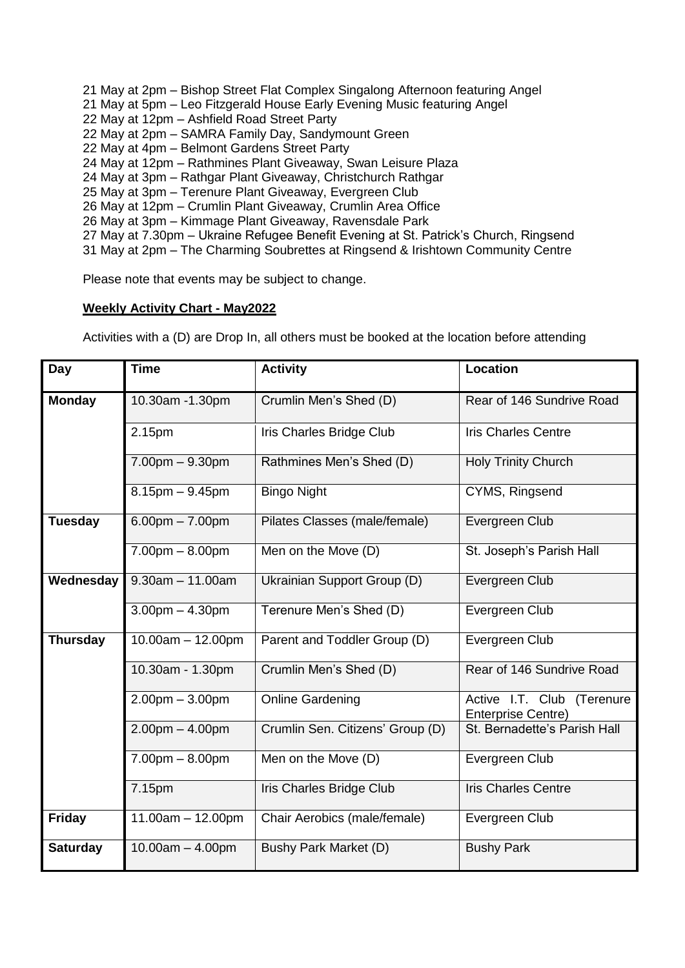- 21 May at 2pm Bishop Street Flat Complex Singalong Afternoon featuring Angel
- 21 May at 5pm Leo Fitzgerald House Early Evening Music featuring Angel
- 22 May at 12pm Ashfield Road Street Party
- 22 May at 2pm SAMRA Family Day, Sandymount Green
- 22 May at 4pm Belmont Gardens Street Party
- 24 May at 12pm Rathmines Plant Giveaway, Swan Leisure Plaza
- 24 May at 3pm Rathgar Plant Giveaway, Christchurch Rathgar
- 25 May at 3pm Terenure Plant Giveaway, Evergreen Club
- 26 May at 12pm Crumlin Plant Giveaway, Crumlin Area Office
- 26 May at 3pm Kimmage Plant Giveaway, Ravensdale Park
- 27 May at 7.30pm Ukraine Refugee Benefit Evening at St. Patrick's Church, Ringsend
- 31 May at 2pm The Charming Soubrettes at Ringsend & Irishtown Community Centre

Please note that events may be subject to change.

# **Weekly Activity Chart - May2022**

Activities with a (D) are Drop In, all others must be booked at the location before attending

| Day             | <b>Time</b>           | <b>Activity</b>                  | Location                                                |
|-----------------|-----------------------|----------------------------------|---------------------------------------------------------|
| <b>Monday</b>   | 10.30am -1.30pm       | Crumlin Men's Shed (D)           | Rear of 146 Sundrive Road                               |
|                 | 2.15pm                | Iris Charles Bridge Club         | <b>Iris Charles Centre</b>                              |
|                 | $7.00pm - 9.30pm$     | Rathmines Men's Shed (D)         | <b>Holy Trinity Church</b>                              |
|                 | $8.15$ pm $-9.45$ pm  | <b>Bingo Night</b>               | CYMS, Ringsend                                          |
| <b>Tuesday</b>  | $6.00pm - 7.00pm$     | Pilates Classes (male/female)    | Evergreen Club                                          |
|                 | $7.00pm - 8.00pm$     | Men on the Move (D)              | St. Joseph's Parish Hall                                |
| Wednesday       | $9.30am - 11.00am$    | Ukrainian Support Group (D)      | Evergreen Club                                          |
|                 | $3.00$ pm $- 4.30$ pm | Terenure Men's Shed (D)          | Evergreen Club                                          |
| <b>Thursday</b> | $10.00am - 12.00pm$   | Parent and Toddler Group (D)     | Evergreen Club                                          |
|                 | 10.30am - 1.30pm      | Crumlin Men's Shed (D)           | Rear of 146 Sundrive Road                               |
|                 | $2.00pm - 3.00pm$     | <b>Online Gardening</b>          | Active I.T. Club (Terenure<br><b>Enterprise Centre)</b> |
|                 | $2.00pm - 4.00pm$     | Crumlin Sen. Citizens' Group (D) | St. Bernadette's Parish Hall                            |
|                 | $7.00pm - 8.00pm$     | Men on the Move (D)              | Evergreen Club                                          |
|                 | 7.15pm                | Iris Charles Bridge Club         | <b>Iris Charles Centre</b>                              |
| <b>Friday</b>   | $11.00am - 12.00pm$   | Chair Aerobics (male/female)     | Evergreen Club                                          |
| <b>Saturday</b> | $10.00am - 4.00pm$    | Bushy Park Market (D)            | <b>Bushy Park</b>                                       |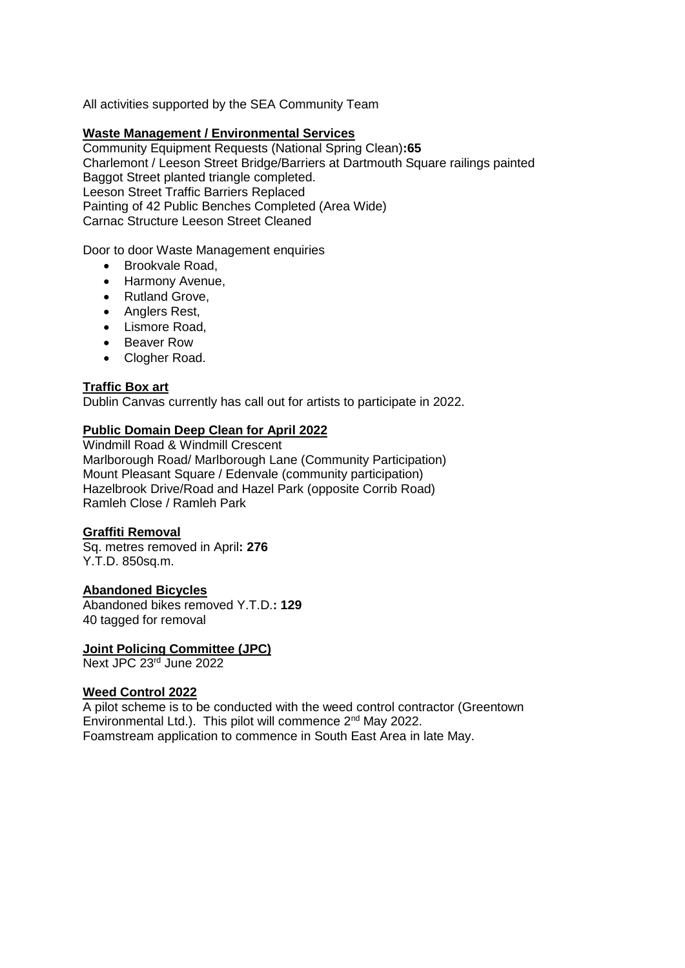All activities supported by the SEA Community Team

#### **Waste Management / Environmental Services**

Community Equipment Requests (National Spring Clean)**:65** Charlemont / Leeson Street Bridge/Barriers at Dartmouth Square railings painted Baggot Street planted triangle completed. Leeson Street Traffic Barriers Replaced Painting of 42 Public Benches Completed (Area Wide) Carnac Structure Leeson Street Cleaned

#### Door to door Waste Management enquiries

- Brookvale Road,
- Harmony Avenue,
- Rutland Grove,
- Anglers Rest,
- Lismore Road,
- Beaver Row
- Clogher Road.

#### **Traffic Box art**

Dublin Canvas currently has call out for artists to participate in 2022.

#### **Public Domain Deep Clean for April 2022**

Windmill Road & Windmill Crescent Marlborough Road/ Marlborough Lane (Community Participation) Mount Pleasant Square / Edenvale (community participation) Hazelbrook Drive/Road and Hazel Park (opposite Corrib Road) Ramleh Close / Ramleh Park

#### **Graffiti Removal**

Sq. metres removed in April**: 276** Y.T.D. 850sq.m.

#### **Abandoned Bicycles**

Abandoned bikes removed Y.T.D.**: 129** 40 tagged for removal

#### **Joint Policing Committee (JPC)**

Next JPC 23rd June 2022

#### **Weed Control 2022**

A pilot scheme is to be conducted with the weed control contractor (Greentown Environmental Ltd.). This pilot will commence 2nd May 2022. Foamstream application to commence in South East Area in late May.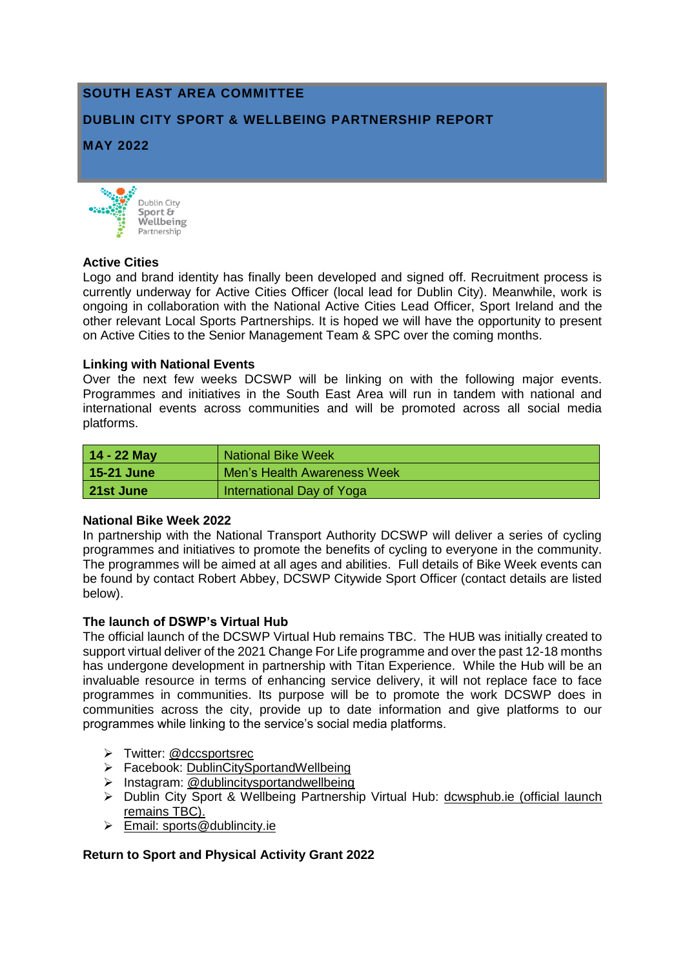# **SOUTH EAST AREA COMMITTEE**

# **DUBLIN CITY SPORT & WELLBEING PARTNERSHIP REPORT**

**MAY 2022**



#### **Active Cities**

Logo and brand identity has finally been developed and signed off. Recruitment process is currently underway for Active Cities Officer (local lead for Dublin City). Meanwhile, work is ongoing in collaboration with the National Active Cities Lead Officer, Sport Ireland and the other relevant Local Sports Partnerships. It is hoped we will have the opportunity to present on Active Cities to the Senior Management Team & SPC over the coming months.

#### **Linking with National Events**

Over the next few weeks DCSWP will be linking on with the following major events. Programmes and initiatives in the South East Area will run in tandem with national and international events across communities and will be promoted across all social media platforms.

| $14 - 22$ May | National Bike Week          |
|---------------|-----------------------------|
| 15-21 June    | Men's Health Awareness Week |
| 21st June     | International Day of Yoga   |

# **National Bike Week 2022**

In partnership with the National Transport Authority DCSWP will deliver a series of cycling programmes and initiatives to promote the benefits of cycling to everyone in the community. The programmes will be aimed at all ages and abilities. Full details of Bike Week events can be found by contact Robert Abbey, DCSWP Citywide Sport Officer (contact details are listed below).

# **The launch of DSWP's Virtual Hub**

The official launch of the DCSWP Virtual Hub remains TBC. The HUB was initially created to support virtual deliver of the 2021 Change For Life programme and over the past 12-18 months has undergone development in partnership with Titan Experience. While the Hub will be an invaluable resource in terms of enhancing service delivery, it will not replace face to face programmes in communities. Its purpose will be to promote the work DCSWP does in communities across the city, provide up to date information and give platforms to our programmes while linking to the service's social media platforms.

- > Twitter: @dccsportsrec
- > Facebook: [DublinCitySportandWellbeing](https://www.facebook.com/DublinCitySportandWellbeingPartnership/)
- > Instagram: @dublincitysportandwellbeing
- Dublin City Sport & Wellbeing Partnership Virtual Hub: [dcwsphub.ie](http://www.dcswphub.ie/) (official launch remains TBC).
- Email: [sports@dublincity.ie](file://///dccdata/cande/Shared/EandC/Sport%20&%20Wellbeing%20Partnership/Communications/Area%20Committee%20Reports/Reporting%202022/South%20East%20Area/sports@dublincity.ie)

# **Return to Sport and Physical Activity Grant 2022**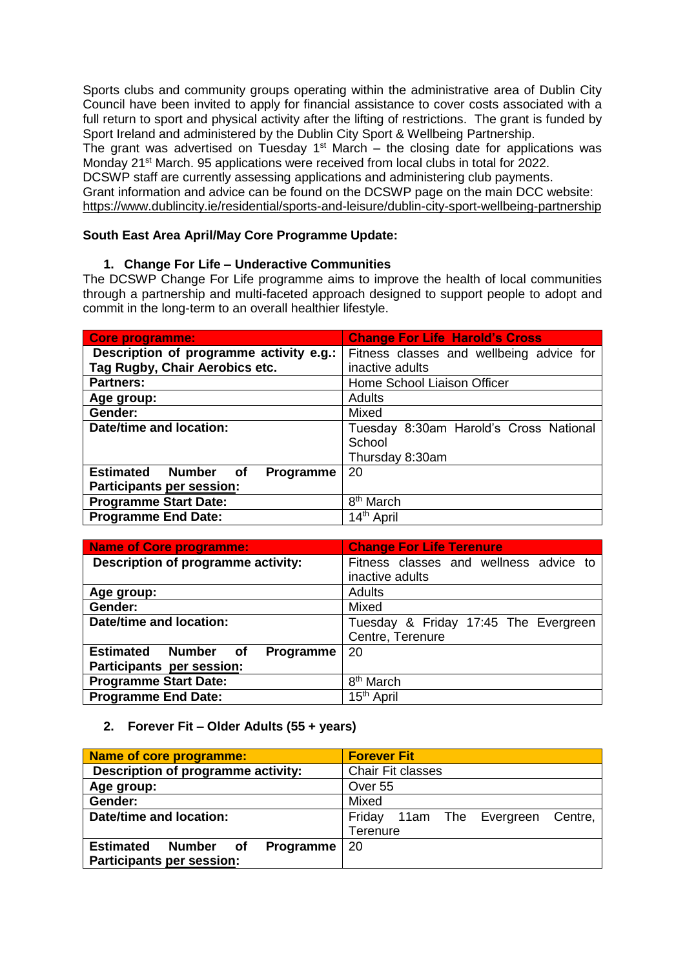Sports clubs and community groups operating within the administrative area of Dublin City Council have been invited to apply for financial assistance to cover costs associated with a full return to sport and physical activity after the lifting of restrictions. The grant is funded by Sport Ireland and administered by the Dublin City Sport & Wellbeing Partnership.

The grant was advertised on Tuesday  $1<sup>st</sup>$  March – the closing date for applications was Monday 21<sup>st</sup> March. 95 applications were received from local clubs in total for 2022.

DCSWP staff are currently assessing applications and administering club payments.

Grant information and advice can be found on the DCSWP page on the main DCC website: <https://www.dublincity.ie/residential/sports-and-leisure/dublin-city-sport-wellbeing-partnership>

# **South East Area April/May Core Programme Update:**

# **1. Change For Life – Underactive Communities**

The DCSWP Change For Life programme aims to improve the health of local communities through a partnership and multi-faceted approach designed to support people to adopt and commit in the long-term to an overall healthier lifestyle.

| Core programme:                            | <b>Change For Life Harold's Cross</b>    |
|--------------------------------------------|------------------------------------------|
| Description of programme activity e.g.:    | Fitness classes and wellbeing advice for |
| Tag Rugby, Chair Aerobics etc.             | inactive adults                          |
| <b>Partners:</b>                           | Home School Liaison Officer              |
| Age group:                                 | Adults                                   |
| Gender:                                    | Mixed                                    |
| <b>Date/time and location:</b>             | Tuesday 8:30am Harold's Cross National   |
|                                            | School                                   |
|                                            | Thursday 8:30am                          |
| <b>Estimated Number</b><br>of<br>Programme | 20                                       |
| <b>Participants per session:</b>           |                                          |
| <b>Programme Start Date:</b>               | 8 <sup>th</sup> March                    |
| <b>Programme End Date:</b>                 | 14 <sup>th</sup> April                   |

| <b>Name of Core programme:</b>     | <b>Change For Life Terenure</b>        |
|------------------------------------|----------------------------------------|
| Description of programme activity: | Fitness classes and wellness advice to |
|                                    | inactive adults                        |
| Age group:                         | <b>Adults</b>                          |
| Gender:                            | Mixed                                  |
| Date/time and location:            | Tuesday & Friday 17:45 The Evergreen   |
|                                    | Centre, Terenure                       |
| Estimated Number of<br>Programme   | 20                                     |
| Participants per session:          |                                        |
| <b>Programme Start Date:</b>       | 8 <sup>th</sup> March                  |
| <b>Programme End Date:</b>         | 15 <sup>th</sup> April                 |

# **2. Forever Fit – Older Adults (55 + years)**

| <b>Name of core programme:</b>             | <b>Forever Fit</b>                      |
|--------------------------------------------|-----------------------------------------|
| Description of programme activity:         | <b>Chair Fit classes</b>                |
| Age group:                                 | Over 55                                 |
| Gender:                                    | Mixed                                   |
| Date/time and location:                    | Friday<br>Centre,<br>11am The Evergreen |
|                                            | Terenure                                |
| <b>Estimated</b><br>Programme<br>Number of | -20                                     |
| <b>Participants per session:</b>           |                                         |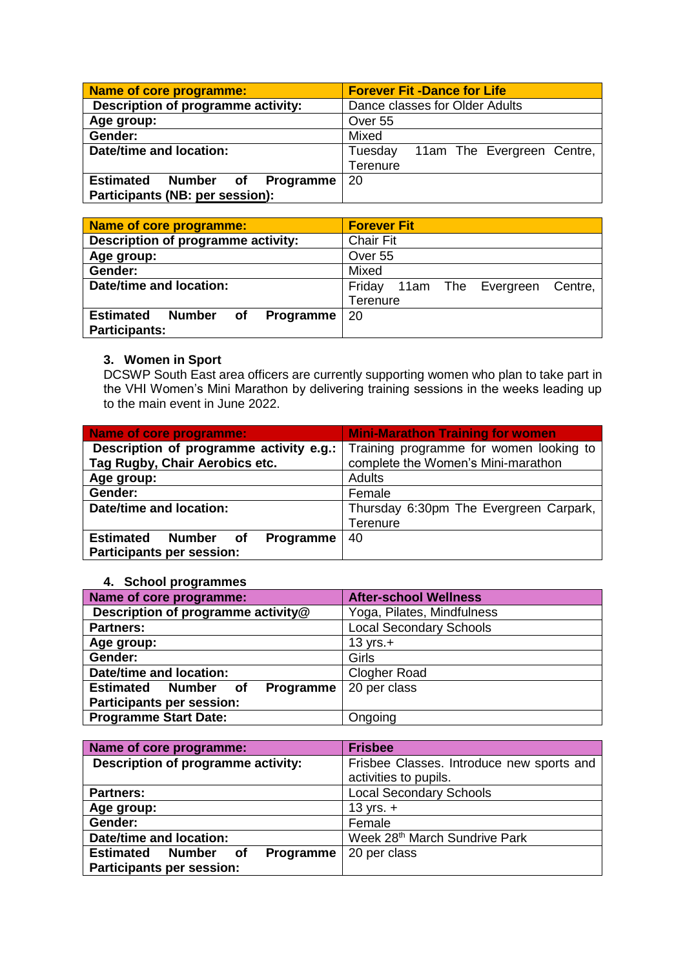| Name of core programme:                    | <b>Forever Fit -Dance for Life</b>    |
|--------------------------------------------|---------------------------------------|
| Description of programme activity:         | Dance classes for Older Adults        |
| Age group:                                 | Over 55                               |
| Gender:                                    | Mixed                                 |
| Date/time and location:                    | 11am The Evergreen Centre,<br>Tuesday |
|                                            | Terenure                              |
| <b>Estimated</b><br>Programme<br>Number of | 20                                    |
| Participants (NB: per session):            |                                       |

| Name of core programme:                              | <b>Forever Fit</b>                      |
|------------------------------------------------------|-----------------------------------------|
| Description of programme activity:                   | <b>Chair Fit</b>                        |
| Age group:                                           | Over 55                                 |
| Gender:                                              | Mixed                                   |
| Date/time and location:                              | Friday<br>11am The Evergreen<br>Centre, |
|                                                      | Terenure                                |
| <b>Estimated</b><br>Number<br>Programme<br><b>of</b> | 20                                      |
| <b>Participants:</b>                                 |                                         |

#### **3. Women in Sport**

DCSWP South East area officers are currently supporting women who plan to take part in the VHI Women's Mini Marathon by delivering training sessions in the weeks leading up to the main event in June 2022.

| Name of core programme:                    | <b>Mini-Marathon Training for women</b> |
|--------------------------------------------|-----------------------------------------|
| Description of programme activity e.g.:    | Training programme for women looking to |
| Tag Rugby, Chair Aerobics etc.             | complete the Women's Mini-marathon      |
| Age group:                                 | <b>Adults</b>                           |
| Gender:                                    | Female                                  |
| Date/time and location:                    | Thursday 6:30pm The Evergreen Carpark,  |
|                                            | Terenure                                |
| <b>Estimated</b><br>Number of<br>Programme | 40                                      |
| <b>Participants per session:</b>           |                                         |

#### **4. School programmes**

| Name of core programme:                              | <b>After-school Wellness</b>   |
|------------------------------------------------------|--------------------------------|
| Description of programme activity@                   | Yoga, Pilates, Mindfulness     |
| <b>Partners:</b>                                     | <b>Local Secondary Schools</b> |
| Age group:                                           | $13 \text{ yrs.}+$             |
| Gender:                                              | Girls                          |
| Date/time and location:                              | <b>Clogher Road</b>            |
| <b>Estimated</b><br><b>Number</b><br>Programme<br>0f | 20 per class                   |
| <b>Participants per session:</b>                     |                                |
| <b>Programme Start Date:</b>                         | Ongoing                        |

| Name of core programme:                                                           | <b>Frisbee</b>                                                     |
|-----------------------------------------------------------------------------------|--------------------------------------------------------------------|
| Description of programme activity:                                                | Frisbee Classes. Introduce new sports and<br>activities to pupils. |
| <b>Partners:</b>                                                                  | <b>Local Secondary Schools</b>                                     |
| Age group:                                                                        | 13 yrs. $+$                                                        |
| Gender:                                                                           | Female                                                             |
| Date/time and location:                                                           | Week 28 <sup>th</sup> March Sundrive Park                          |
| <b>Estimated</b><br>Programme<br>Number<br>οf<br><b>Participants per session:</b> | 20 per class                                                       |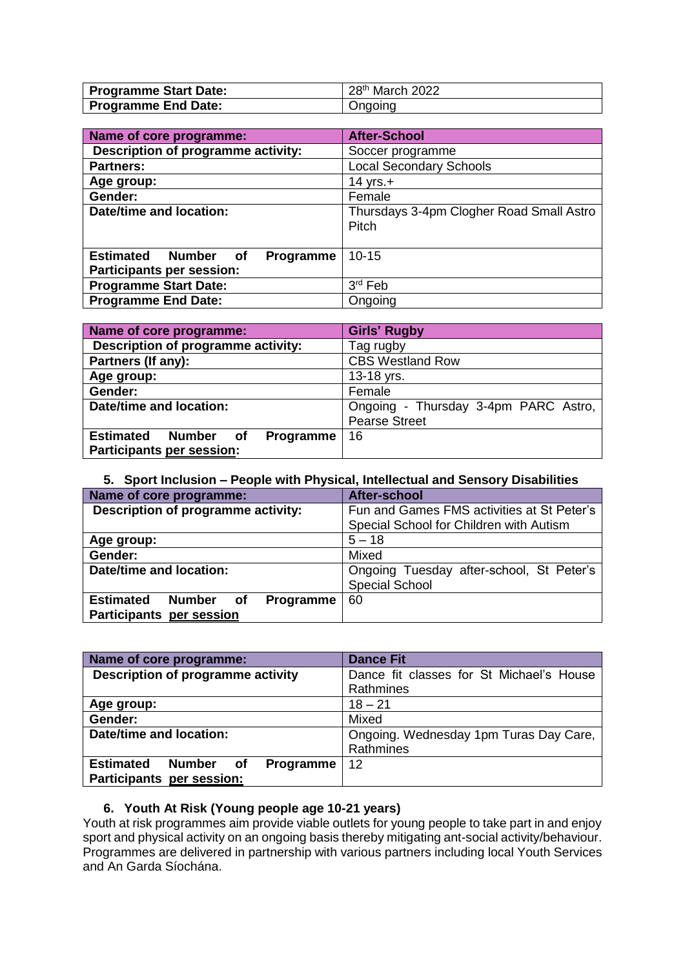| <b>Programme Start Date:</b> | 28 <sup>th</sup> March 2022 |
|------------------------------|-----------------------------|
| <b>Programme End Date:</b>   | Ongoing                     |

| Name of core programme:                       | <b>After-School</b>                      |
|-----------------------------------------------|------------------------------------------|
| Description of programme activity:            | Soccer programme                         |
| <b>Partners:</b>                              | <b>Local Secondary Schools</b>           |
| Age group:                                    | 14 yrs. $+$                              |
| Gender:                                       | Female                                   |
| Date/time and location:                       | Thursdays 3-4pm Clogher Road Small Astro |
|                                               | Pitch                                    |
|                                               |                                          |
| <b>Estimated</b><br>Number<br>Programme<br>of | $10 - 15$                                |
| <b>Participants per session:</b>              |                                          |
| <b>Programme Start Date:</b>                  | $3rd$ Feb                                |
| <b>Programme End Date:</b>                    | Ongoing                                  |

| Name of core programme:                    | <b>Girls' Rugby</b>                  |
|--------------------------------------------|--------------------------------------|
| Description of programme activity:         | Tag rugby                            |
| Partners (If any):                         | <b>CBS Westland Row</b>              |
| Age group:                                 | 13-18 yrs.                           |
| Gender:                                    | Female                               |
| Date/time and location:                    | Ongoing - Thursday 3-4pm PARC Astro, |
|                                            | <b>Pearse Street</b>                 |
| <b>Estimated</b><br>Number of<br>Programme | 16                                   |
| Participants per session:                  |                                      |

# **5. Sport Inclusion – People with Physical, Intellectual and Sensory Disabilities**

| Name of core programme:                              | After-school                               |
|------------------------------------------------------|--------------------------------------------|
| Description of programme activity:                   | Fun and Games FMS activities at St Peter's |
|                                                      | Special School for Children with Autism    |
| Age group:                                           | $5 - 18$                                   |
| Gender:                                              | Mixed                                      |
| Date/time and location:                              | Ongoing Tuesday after-school, St Peter's   |
|                                                      | <b>Special School</b>                      |
| <b>Estimated</b><br><b>Number</b><br>Programme<br>of | 60                                         |
| <b>Participants per session</b>                      |                                            |

| Name of core programme:                              | <b>Dance Fit</b>                         |
|------------------------------------------------------|------------------------------------------|
| Description of programme activity                    | Dance fit classes for St Michael's House |
|                                                      | Rathmines                                |
| Age group:                                           | $18 - 21$                                |
| Gender:                                              | Mixed                                    |
| Date/time and location:                              | Ongoing. Wednesday 1pm Turas Day Care,   |
|                                                      | Rathmines                                |
| <b>Estimated</b><br><b>Number</b><br>Programme<br>of | 12                                       |
| Participants per session:                            |                                          |

# **6. Youth At Risk (Young people age 10-21 years)**

Youth at risk programmes aim provide viable outlets for young people to take part in and enjoy sport and physical activity on an ongoing basis thereby mitigating ant-social activity/behaviour. Programmes are delivered in partnership with various partners including local Youth Services and An Garda Síochána.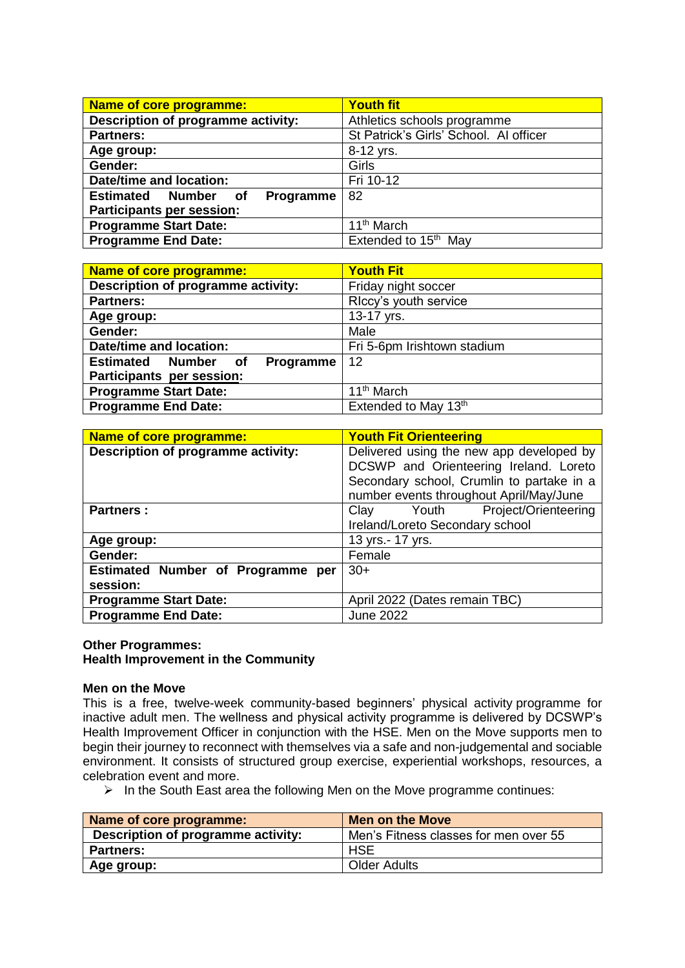| <b>Name of core programme:</b>             | <b>Youth fit</b>                       |
|--------------------------------------------|----------------------------------------|
| Description of programme activity:         | Athletics schools programme            |
| <b>Partners:</b>                           | St Patrick's Girls' School. Al officer |
| Age group:                                 | 8-12 yrs.                              |
| Gender:                                    | Girls                                  |
| Date/time and location:                    | Fri 10-12                              |
| <b>Estimated Number</b><br>Programme<br>of | 82                                     |
| Participants per session:                  |                                        |
| <b>Programme Start Date:</b>               | 11 <sup>th</sup> March                 |
| <b>Programme End Date:</b>                 | Extended to 15 <sup>th</sup> May       |

| <b>Name of core programme:</b>             | <b>Youth Fit</b>            |
|--------------------------------------------|-----------------------------|
| Description of programme activity:         | Friday night soccer         |
| <b>Partners:</b>                           | RIccy's youth service       |
| Age group:                                 | 13-17 yrs.                  |
| Gender:                                    | Male                        |
| Date/time and location:                    | Fri 5-6pm Irishtown stadium |
| <b>Estimated Number</b><br>Programme<br>of | 12                          |
| Participants per session:                  |                             |
| <b>Programme Start Date:</b>               | 11 <sup>th</sup> March      |
| <b>Programme End Date:</b>                 | Extended to May 13th        |

| <b>Name of core programme:</b>     | <b>Youth Fit Orienteering</b>             |  |
|------------------------------------|-------------------------------------------|--|
| Description of programme activity: | Delivered using the new app developed by  |  |
|                                    | DCSWP and Orienteering Ireland. Loreto    |  |
|                                    | Secondary school, Crumlin to partake in a |  |
|                                    | number events throughout April/May/June   |  |
| <b>Partners:</b>                   | Project/Orienteering<br>Clay Youth        |  |
|                                    | Ireland/Loreto Secondary school           |  |
| Age group:                         | 13 yrs.- 17 yrs.                          |  |
| Gender:                            | Female                                    |  |
| Estimated Number of Programme per  | $30+$                                     |  |
| session:                           |                                           |  |
| <b>Programme Start Date:</b>       | April 2022 (Dates remain TBC)             |  |
| <b>Programme End Date:</b>         | <b>June 2022</b>                          |  |

#### **Other Programmes: Health Improvement in the Community**

#### **Men on the Move**

This is a free, twelve-week community-based beginners' physical activity programme for inactive adult men. The wellness and physical activity programme is delivered by DCSWP's Health Improvement Officer in conjunction with the HSE. Men on the Move supports men to begin their journey to reconnect with themselves via a safe and non-judgemental and sociable environment. It consists of structured group exercise, experiential workshops, resources, a celebration event and more.

 $\triangleright$  In the South East area the following Men on the Move programme continues:

| Name of core programme:            | <b>Men on the Move</b>                |
|------------------------------------|---------------------------------------|
| Description of programme activity: | Men's Fitness classes for men over 55 |
| <b>Partners:</b>                   | <b>HSE</b>                            |
| Age group:                         | <b>Older Adults</b>                   |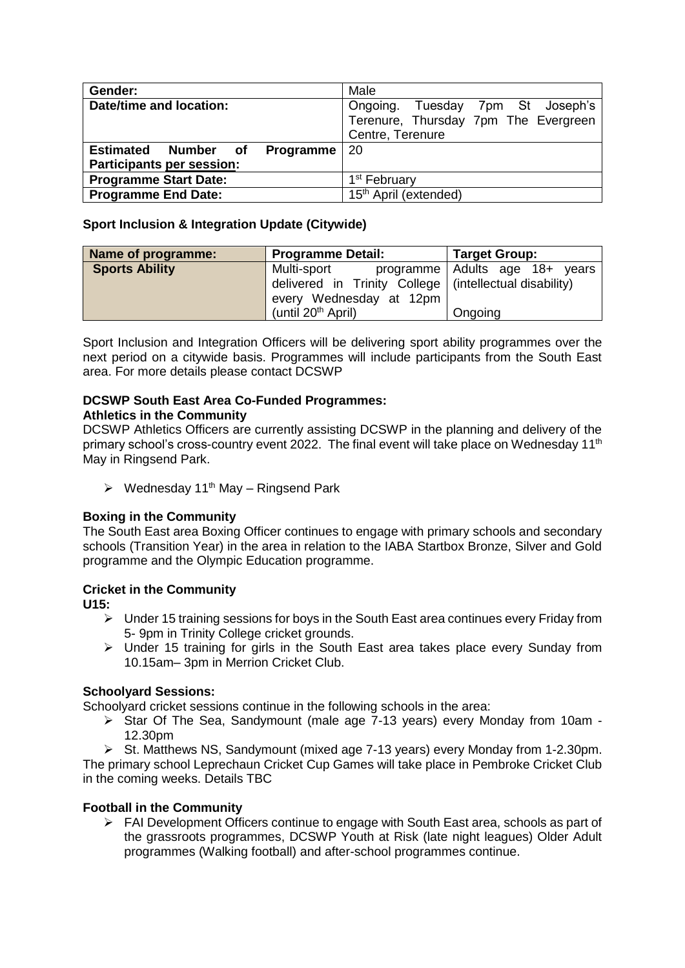| Gender:                          | Male                                 |  |
|----------------------------------|--------------------------------------|--|
| Date/time and location:          | Ongoing. Tuesday 7pm St Joseph's     |  |
|                                  | Terenure, Thursday 7pm The Evergreen |  |
|                                  | Centre, Terenure                     |  |
| Estimated Number of<br>Programme | 20                                   |  |
| <b>Participants per session:</b> |                                      |  |
| <b>Programme Start Date:</b>     | 1 <sup>st</sup> February             |  |
| <b>Programme End Date:</b>       | 15 <sup>th</sup> April (extended)    |  |

# **Sport Inclusion & Integration Update (Citywide)**

| Name of programme:    | <b>Programme Detail:</b>                                 | <b>Target Group:</b>           |  |
|-----------------------|----------------------------------------------------------|--------------------------------|--|
| <b>Sports Ability</b> | Multi-sport                                              | programme Adults age 18+ years |  |
|                       | delivered in Trinity College   (intellectual disability) |                                |  |
|                       | every Wednesday at 12pm                                  |                                |  |
|                       | (until 20 <sup>th</sup> April)                           | Ongoing                        |  |

Sport Inclusion and Integration Officers will be delivering sport ability programmes over the next period on a citywide basis. Programmes will include participants from the South East area. For more details please contact DCSWP

# **DCSWP South East Area Co-Funded Programmes:**

# **Athletics in the Community**

DCSWP Athletics Officers are currently assisting DCSWP in the planning and delivery of the primary school's cross-country event 2022. The final event will take place on Wednesday 11<sup>th</sup> May in Ringsend Park.

 $\triangleright$  Wednesday 11<sup>th</sup> May – Ringsend Park

# **Boxing in the Community**

The South East area Boxing Officer continues to engage with primary schools and secondary schools (Transition Year) in the area in relation to the IABA Startbox Bronze, Silver and Gold programme and the Olympic Education programme.

# **Cricket in the Community**

**U15:**

- $\triangleright$  Under 15 training sessions for boys in the South East area continues every Friday from 5- 9pm in Trinity College cricket grounds.
- $\triangleright$  Under 15 training for girls in the South East area takes place every Sunday from 10.15am– 3pm in Merrion Cricket Club.

# **Schoolyard Sessions:**

Schoolyard cricket sessions continue in the following schools in the area:

 Star Of The Sea, Sandymount (male age 7-13 years) every Monday from 10am - 12.30pm

St. Matthews NS, Sandymount (mixed age 7-13 years) every Monday from 1-2.30pm. The primary school Leprechaun Cricket Cup Games will take place in Pembroke Cricket Club in the coming weeks. Details TBC

# **Football in the Community**

 $\triangleright$  FAI Development Officers continue to engage with South East area, schools as part of the grassroots programmes, DCSWP Youth at Risk (late night leagues) Older Adult programmes (Walking football) and after-school programmes continue.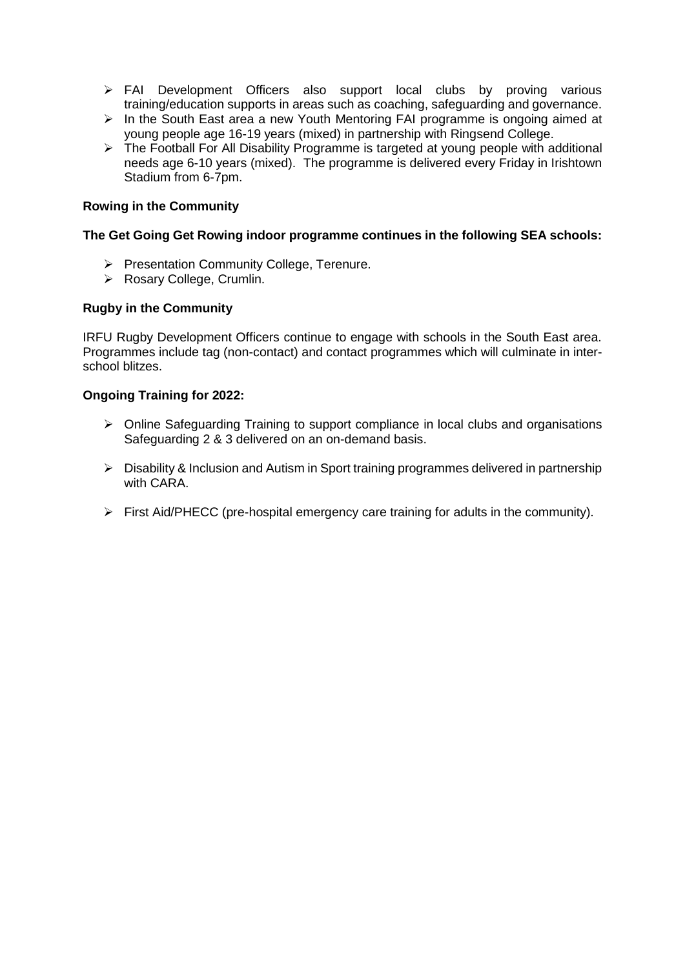- > FAI Development Officers also support local clubs by proving various training/education supports in areas such as coaching, safeguarding and governance.
- $\triangleright$  In the South East area a new Youth Mentoring FAI programme is ongoing aimed at young people age 16-19 years (mixed) in partnership with Ringsend College.
- > The Football For All Disability Programme is targeted at young people with additional needs age 6-10 years (mixed). The programme is delivered every Friday in Irishtown Stadium from 6-7pm.

## **Rowing in the Community**

#### **The Get Going Get Rowing indoor programme continues in the following SEA schools:**

- Presentation Community College, Terenure.
- ▶ Rosary College, Crumlin.

## **Rugby in the Community**

IRFU Rugby Development Officers continue to engage with schools in the South East area. Programmes include tag (non-contact) and contact programmes which will culminate in interschool blitzes.

#### **Ongoing Training for 2022:**

- $\triangleright$  Online Safeguarding Training to support compliance in local clubs and organisations Safeguarding 2 & 3 delivered on an on-demand basis.
- Disability & Inclusion and Autism in Sport training programmes delivered in partnership with CARA.
- $\triangleright$  First Aid/PHECC (pre-hospital emergency care training for adults in the community).